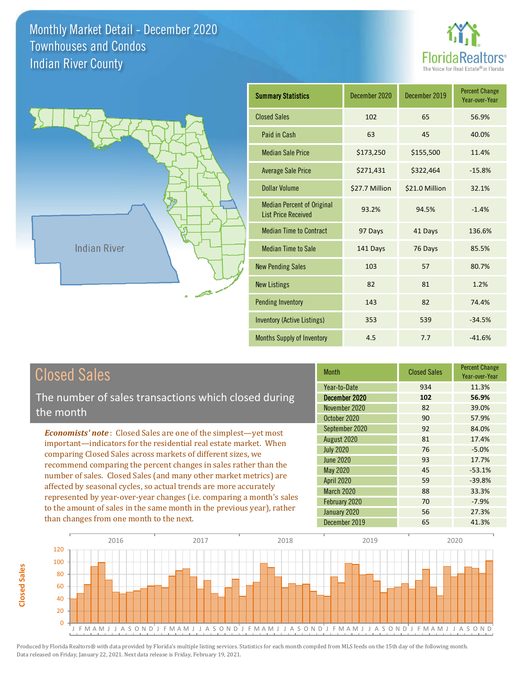



| <b>Summary Statistics</b>                                       | December 2020  | December 2019  | <b>Percent Change</b><br>Year-over-Year |
|-----------------------------------------------------------------|----------------|----------------|-----------------------------------------|
| <b>Closed Sales</b>                                             | 102            | 65             | 56.9%                                   |
| Paid in Cash                                                    | 63             | 45             | 40.0%                                   |
| <b>Median Sale Price</b>                                        | \$173,250      | \$155,500      | 11.4%                                   |
| <b>Average Sale Price</b>                                       | \$271,431      | \$322,464      | $-15.8%$                                |
| <b>Dollar Volume</b>                                            | \$27.7 Million | \$21.0 Million | 32.1%                                   |
| <b>Median Percent of Original</b><br><b>List Price Received</b> | 93.2%          | 94.5%          | $-1.4%$                                 |
| <b>Median Time to Contract</b>                                  | 97 Days        | 41 Days        | 136.6%                                  |
| <b>Median Time to Sale</b>                                      | 141 Days       | 76 Days        | 85.5%                                   |
| <b>New Pending Sales</b>                                        | 103            | 57             | 80.7%                                   |
| <b>New Listings</b>                                             | 82             | 81             | 1.2%                                    |
| <b>Pending Inventory</b>                                        | 143            | 82             | 74.4%                                   |
| Inventory (Active Listings)                                     | 353            | 539            | $-34.5%$                                |
| <b>Months Supply of Inventory</b>                               | 4.5            | 7.7            | $-41.6%$                                |

**Closed Sales**

**Closed Sales** 

The number of sales transactions which closed during the month

*Economists' note* : Closed Sales are one of the simplest—yet most important—indicators for the residential real estate market. When comparing Closed Sales across markets of different sizes, we recommend comparing the percent changes in sales rather than the number of sales. Closed Sales (and many other market metrics) are affected by seasonal cycles, so actual trends are more accurately represented by year-over-year changes (i.e. comparing a month's sales to the amount of sales in the same month in the previous year), rather than changes from one month to the next.

| <b>Month</b>      | <b>Closed Sales</b> | <b>Percent Change</b><br>Year-over-Year |
|-------------------|---------------------|-----------------------------------------|
| Year-to-Date      | 934                 | 11.3%                                   |
| December 2020     | 102                 | 56.9%                                   |
| November 2020     | 82                  | 39.0%                                   |
| October 2020      | 90                  | 57.9%                                   |
| September 2020    | 92                  | 84.0%                                   |
| August 2020       | 81                  | 17.4%                                   |
| <b>July 2020</b>  | 76                  | $-5.0%$                                 |
| June 2020         | 93                  | 17.7%                                   |
| <b>May 2020</b>   | 45                  | $-53.1%$                                |
| <b>April 2020</b> | 59                  | $-39.8%$                                |
| <b>March 2020</b> | 88                  | 33.3%                                   |
| February 2020     | 70                  | $-7.9%$                                 |
| January 2020      | 56                  | 27.3%                                   |
| December 2019     | 65                  | 41.3%                                   |

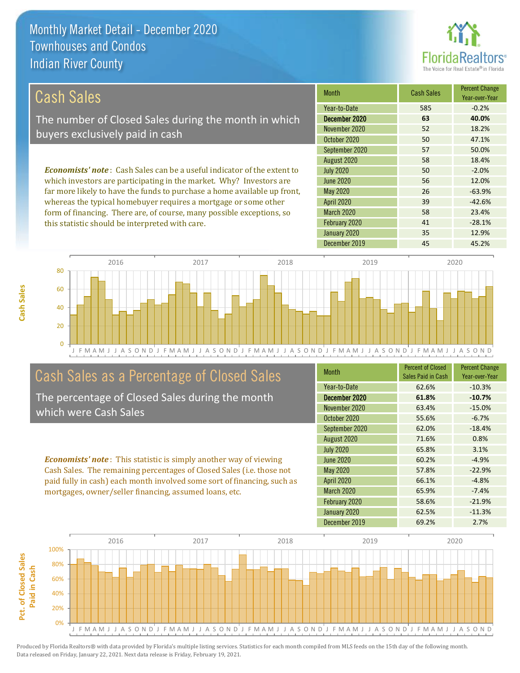

## Cash Sales

The number of Closed Sales during the month in which buyers exclusively paid in cash

*Economists' note* : Cash Sales can be a useful indicator of the extent to which investors are participating in the market. Why? Investors are far more likely to have the funds to purchase a home available up front, whereas the typical homebuyer requires a mortgage or some other form of financing. There are, of course, many possible exceptions, so this statistic should be interpreted with care.

| Month             | <b>Cash Sales</b> | <b>Percent Change</b><br>Year-over-Year |
|-------------------|-------------------|-----------------------------------------|
| Year-to-Date      | 585               | $-0.2%$                                 |
| December 2020     | 63                | 40.0%                                   |
| November 2020     | 52                | 18.2%                                   |
| October 2020      | 50                | 47.1%                                   |
| September 2020    | 57                | 50.0%                                   |
| August 2020       | 58                | 18.4%                                   |
| <b>July 2020</b>  | 50                | $-2.0%$                                 |
| <b>June 2020</b>  | 56                | 12.0%                                   |
| <b>May 2020</b>   | 26                | $-63.9%$                                |
| <b>April 2020</b> | 39                | $-42.6%$                                |
| March 2020        | 58                | 23.4%                                   |
| February 2020     | 41                | $-28.1%$                                |
| January 2020      | 35                | 12.9%                                   |
| December 2019     | 45                | 45.2%                                   |



# Cash Sales as a Percentage of Closed Sales

The percentage of Closed Sales during the month which were Cash Sales

*Economists' note* : This statistic is simply another way of viewing Cash Sales. The remaining percentages of Closed Sales (i.e. those not paid fully in cash) each month involved some sort of financing, such as mortgages, owner/seller financing, assumed loans, etc.

| <b>Month</b>      | <b>Percent of Closed</b><br>Sales Paid in Cash | <b>Percent Change</b><br>Year-over-Year |
|-------------------|------------------------------------------------|-----------------------------------------|
| Year-to-Date      | 62.6%                                          | $-10.3%$                                |
| December 2020     | 61.8%                                          | $-10.7%$                                |
| November 2020     | 63.4%                                          | $-15.0%$                                |
| October 2020      | 55.6%                                          | $-6.7%$                                 |
| September 2020    | 62.0%                                          | $-18.4%$                                |
| August 2020       | 71.6%                                          | 0.8%                                    |
| <b>July 2020</b>  | 65.8%                                          | 3.1%                                    |
| June 2020         | 60.2%                                          | $-4.9%$                                 |
| May 2020          | 57.8%                                          | $-22.9%$                                |
| <b>April 2020</b> | 66.1%                                          | $-4.8%$                                 |
| <b>March 2020</b> | 65.9%                                          | $-7.4%$                                 |
| February 2020     | 58.6%                                          | $-21.9%$                                |
| January 2020      | 62.5%                                          | $-11.3%$                                |
| December 2019     | 69.2%                                          | 2.7%                                    |

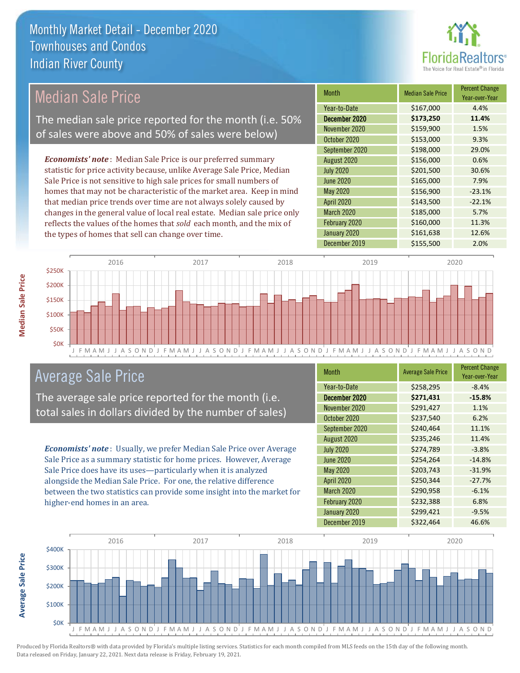

## Median Sale Price

The median sale price reported for the month (i.e. 50% of sales were above and 50% of sales were below)

*Economists' note* : Median Sale Price is our preferred summary statistic for price activity because, unlike Average Sale Price, Median Sale Price is not sensitive to high sale prices for small numbers of homes that may not be characteristic of the market area. Keep in mind that median price trends over time are not always solely caused by changes in the general value of local real estate. Median sale price only reflects the values of the homes that *sold* each month, and the mix of the types of homes that sell can change over time.

| Month             | <b>Median Sale Price</b> | <b>Percent Change</b><br>Year-over-Year |
|-------------------|--------------------------|-----------------------------------------|
| Year-to-Date      | \$167,000                | 4.4%                                    |
| December 2020     | \$173,250                | 11.4%                                   |
| November 2020     | \$159,900                | 1.5%                                    |
| October 2020      | \$153,000                | 9.3%                                    |
| September 2020    | \$198,000                | 29.0%                                   |
| August 2020       | \$156,000                | 0.6%                                    |
| <b>July 2020</b>  | \$201,500                | 30.6%                                   |
| <b>June 2020</b>  | \$165,000                | 7.9%                                    |
| May 2020          | \$156,900                | $-23.1%$                                |
| <b>April 2020</b> | \$143,500                | $-22.1%$                                |
| March 2020        | \$185,000                | 5.7%                                    |
| February 2020     | \$160,000                | 11.3%                                   |
| January 2020      | \$161,638                | 12.6%                                   |
| December 2019     | \$155,500                | 2.0%                                    |



## Average Sale Price

The average sale price reported for the month (i.e. total sales in dollars divided by the number of sales)

*Economists' note* : Usually, we prefer Median Sale Price over Average Sale Price as a summary statistic for home prices. However, Average Sale Price does have its uses—particularly when it is analyzed alongside the Median Sale Price. For one, the relative difference between the two statistics can provide some insight into the market for higher-end homes in an area.

| Month             | <b>Average Sale Price</b> | <b>Percent Change</b><br>Year-over-Year |
|-------------------|---------------------------|-----------------------------------------|
| Year-to-Date      | \$258,295                 | $-8.4%$                                 |
| December 2020     | \$271,431                 | $-15.8%$                                |
| November 2020     | \$291,427                 | 1.1%                                    |
| October 2020      | \$237,540                 | 6.2%                                    |
| September 2020    | \$240,464                 | 11.1%                                   |
| August 2020       | \$235,246                 | 11.4%                                   |
| <b>July 2020</b>  | \$274,789                 | $-3.8%$                                 |
| <b>June 2020</b>  | \$254,264                 | $-14.8%$                                |
| May 2020          | \$203,743                 | $-31.9%$                                |
| <b>April 2020</b> | \$250,344                 | $-27.7%$                                |
| March 2020        | \$290,958                 | $-6.1%$                                 |
| February 2020     | \$232,388                 | 6.8%                                    |
| January 2020      | \$299,421                 | $-9.5%$                                 |
| December 2019     | \$322,464                 | 46.6%                                   |



**Average Sale Price**

**Average Sale Price**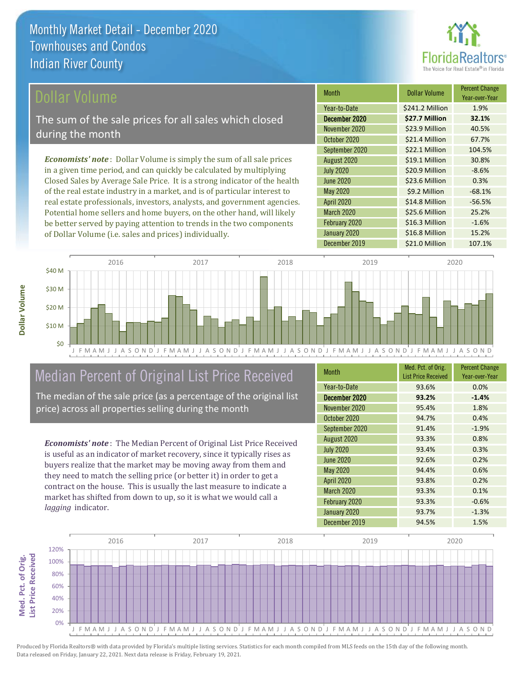

## ollar Volume

The sum of the sale prices for all sales which closed during the month

*Economists' note* : Dollar Volume is simply the sum of all sale prices in a given time period, and can quickly be calculated by multiplying Closed Sales by Average Sale Price. It is a strong indicator of the health of the real estate industry in a market, and is of particular interest to real estate professionals, investors, analysts, and government agencies. Potential home sellers and home buyers, on the other hand, will likely be better served by paying attention to trends in the two components of Dollar Volume (i.e. sales and prices) individually.

| <b>Month</b>      | Dollar Volume   | <b>Percent Change</b><br>Year-over-Year |
|-------------------|-----------------|-----------------------------------------|
| Year-to-Date      | \$241.2 Million | 1.9%                                    |
| December 2020     | \$27.7 Million  | 32.1%                                   |
| November 2020     | \$23.9 Million  | 40.5%                                   |
| October 2020      | \$21.4 Million  | 67.7%                                   |
| September 2020    | \$22.1 Million  | 104.5%                                  |
| August 2020       | \$19.1 Million  | 30.8%                                   |
| <b>July 2020</b>  | \$20.9 Million  | $-8.6%$                                 |
| <b>June 2020</b>  | \$23.6 Million  | 0.3%                                    |
| <b>May 2020</b>   | \$9.2 Million   | $-68.1%$                                |
| <b>April 2020</b> | \$14.8 Million  | $-56.5%$                                |
| <b>March 2020</b> | \$25.6 Million  | 25.2%                                   |
| February 2020     | \$16.3 Million  | $-1.6%$                                 |
| January 2020      | \$16.8 Million  | 15.2%                                   |
| December 2019     | \$21.0 Million  | 107.1%                                  |



# Median Percent of Original List Price Received

The median of the sale price (as a percentage of the original list price) across all properties selling during the month

*Economists' note* : The Median Percent of Original List Price Received is useful as an indicator of market recovery, since it typically rises as buyers realize that the market may be moving away from them and they need to match the selling price (or better it) in order to get a contract on the house. This is usually the last measure to indicate a market has shifted from down to up, so it is what we would call a *lagging* indicator.

| <b>Month</b>      | Med. Pct. of Orig.<br><b>List Price Received</b> | <b>Percent Change</b><br>Year-over-Year |
|-------------------|--------------------------------------------------|-----------------------------------------|
| Year-to-Date      | 93.6%                                            | 0.0%                                    |
| December 2020     | 93.2%                                            | $-1.4%$                                 |
| November 2020     | 95.4%                                            | 1.8%                                    |
| October 2020      | 94.7%                                            | 0.4%                                    |
| September 2020    | 91.4%                                            | $-1.9%$                                 |
| August 2020       | 93.3%                                            | 0.8%                                    |
| <b>July 2020</b>  | 93.4%                                            | 0.3%                                    |
| <b>June 2020</b>  | 92.6%                                            | 0.2%                                    |
| <b>May 2020</b>   | 94.4%                                            | 0.6%                                    |
| <b>April 2020</b> | 93.8%                                            | 0.2%                                    |
| <b>March 2020</b> | 93.3%                                            | 0.1%                                    |
| February 2020     | 93.3%                                            | $-0.6%$                                 |
| January 2020      | 93.7%                                            | $-1.3%$                                 |
| December 2019     | 94.5%                                            | 1.5%                                    |

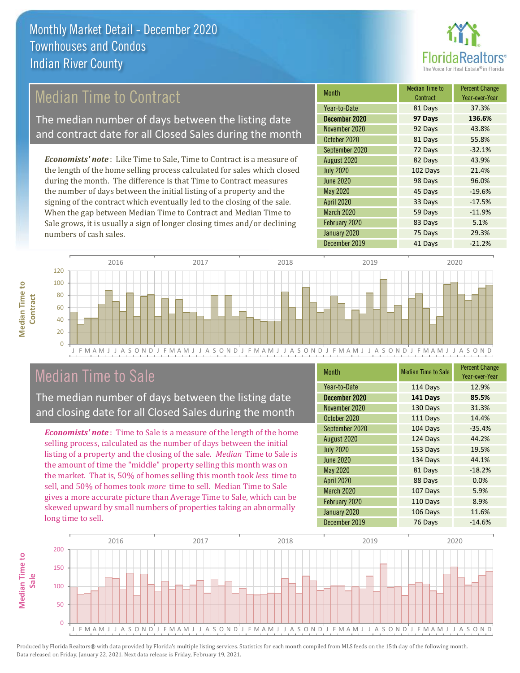

## Median Time to Contract

The median number of days between the listing date and contract date for all Closed Sales during the month

*Economists' note* : Like Time to Sale, Time to Contract is a measure of the length of the home selling process calculated for sales which closed during the month. The difference is that Time to Contract measures the number of days between the initial listing of a property and the signing of the contract which eventually led to the closing of the sale. When the gap between Median Time to Contract and Median Time to Sale grows, it is usually a sign of longer closing times and/or declining numbers of cash sales.

| <b>Month</b>      | Median Time to<br>Contract | <b>Percent Change</b><br>Year-over-Year |
|-------------------|----------------------------|-----------------------------------------|
| Year-to-Date      | 81 Days                    | 37.3%                                   |
| December 2020     | 97 Days                    | 136.6%                                  |
| November 2020     | 92 Days                    | 43.8%                                   |
| October 2020      | 81 Days                    | 55.8%                                   |
| September 2020    | 72 Days                    | $-32.1%$                                |
| August 2020       | 82 Days                    | 43.9%                                   |
| <b>July 2020</b>  | 102 Days                   | 21.4%                                   |
| <b>June 2020</b>  | 98 Days                    | 96.0%                                   |
| <b>May 2020</b>   | 45 Days                    | $-19.6%$                                |
| <b>April 2020</b> | 33 Days                    | $-17.5%$                                |
| <b>March 2020</b> | 59 Days                    | $-11.9%$                                |
| February 2020     | 83 Days                    | 5.1%                                    |
| January 2020      | 75 Days                    | 29.3%                                   |
| December 2019     | 41 Days                    | $-21.2%$                                |



## Median Time to Sale

**Median Time to Contract**

**Median Time to** 

The median number of days between the listing date and closing date for all Closed Sales during the month

*Economists' note* : Time to Sale is a measure of the length of the home selling process, calculated as the number of days between the initial listing of a property and the closing of the sale. *Median* Time to Sale is the amount of time the "middle" property selling this month was on the market. That is, 50% of homes selling this month took *less* time to sell, and 50% of homes took *more* time to sell. Median Time to Sale gives a more accurate picture than Average Time to Sale, which can be skewed upward by small numbers of properties taking an abnormally long time to sell.

| <b>Month</b>      | <b>Median Time to Sale</b> | <b>Percent Change</b><br>Year-over-Year |
|-------------------|----------------------------|-----------------------------------------|
| Year-to-Date      | 114 Days                   | 12.9%                                   |
| December 2020     | 141 Days                   | 85.5%                                   |
| November 2020     | 130 Days                   | 31.3%                                   |
| October 2020      | 111 Days                   | 14.4%                                   |
| September 2020    | 104 Days                   | $-35.4%$                                |
| August 2020       | 124 Days                   | 44.2%                                   |
| <b>July 2020</b>  | 153 Days                   | 19.5%                                   |
| <b>June 2020</b>  | 134 Days                   | 44.1%                                   |
| <b>May 2020</b>   | 81 Days                    | $-18.2%$                                |
| <b>April 2020</b> | 88 Days                    | 0.0%                                    |
| March 2020        | 107 Days                   | 5.9%                                    |
| February 2020     | 110 Days                   | 8.9%                                    |
| January 2020      | 106 Days                   | 11.6%                                   |
| December 2019     | 76 Days                    | $-14.6%$                                |

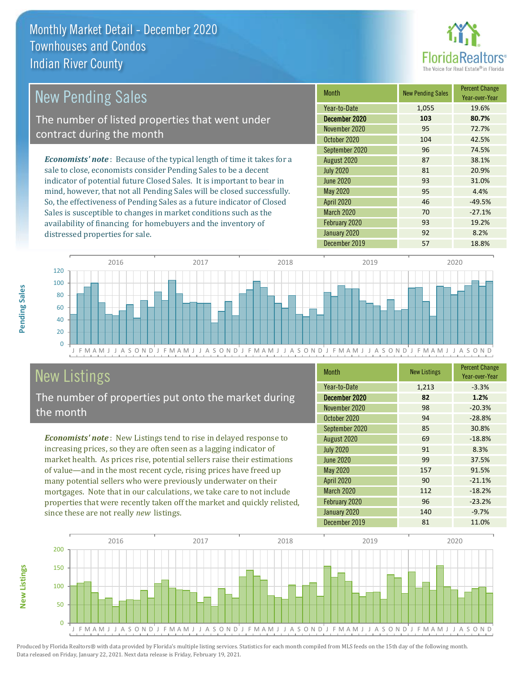

#### *Economists' note* : Because of the typical length of time it takes for a sale to close, economists consider Pending Sales to be a decent indicator of potential future Closed Sales. It is important to bear in mind, however, that not all Pending Sales will be closed successfully. Month New Pending Sales Percent Change Year-over-Year December 2020 **103 80.7%** Year-to-Date 1,055 19.6% May 2020 95 4.4% November 2020 95 72.7% October 2020 104 42.5% July 2020 81 20.9% June 2020 93 31.0% September 2020 96 74.5% August 2020 87 38.1% New Pending Sales The number of listed properties that went under contract during the month

So, the effectiveness of Pending Sales as a future indicator of Closed Sales is susceptible to changes in market conditions such as the availability of financing for homebuyers and the inventory of distressed properties for sale.

|                   |       | IVAI UVUI IVAI |
|-------------------|-------|----------------|
| Year-to-Date      | 1,055 | 19.6%          |
| December 2020     | 103   | 80.7%          |
| November 2020     | 95    | 72.7%          |
| October 2020      | 104   | 42.5%          |
| September 2020    | 96    | 74.5%          |
| August 2020       | 87    | 38.1%          |
| <b>July 2020</b>  | 81    | 20.9%          |
| <b>June 2020</b>  | 93    | 31.0%          |
| May 2020          | 95    | 4.4%           |
| <b>April 2020</b> | 46    | $-49.5%$       |
| <b>March 2020</b> | 70    | $-27.1%$       |
| February 2020     | 93    | 19.2%          |
| January 2020      | 92    | 8.2%           |
| December 2019     | 57    | 18.8%          |



# New Listings

The number of properties put onto the market during the month

*Economists' note* : New Listings tend to rise in delayed response to increasing prices, so they are often seen as a lagging indicator of market health. As prices rise, potential sellers raise their estimations of value—and in the most recent cycle, rising prices have freed up many potential sellers who were previously underwater on their mortgages. Note that in our calculations, we take care to not include properties that were recently taken off the market and quickly relisted, since these are not really *new* listings.

| <b>Month</b>      | <b>New Listings</b> | <b>Percent Change</b><br>Year-over-Year |
|-------------------|---------------------|-----------------------------------------|
| Year-to-Date      | 1,213               | $-3.3%$                                 |
| December 2020     | 82                  | 1.2%                                    |
| November 2020     | 98                  | $-20.3%$                                |
| October 2020      | 94                  | $-28.8%$                                |
| September 2020    | 85                  | 30.8%                                   |
| August 2020       | 69                  | $-18.8%$                                |
| <b>July 2020</b>  | 91                  | 8.3%                                    |
| <b>June 2020</b>  | 99                  | 37.5%                                   |
| May 2020          | 157                 | 91.5%                                   |
| April 2020        | 90                  | $-21.1%$                                |
| <b>March 2020</b> | 112                 | $-18.2%$                                |
| February 2020     | 96                  | $-23.2%$                                |
| January 2020      | 140                 | $-9.7%$                                 |
| December 2019     | 81                  | 11.0%                                   |



Produced by Florida Realtors® with data provided by Florida's multiple listing services. Statistics for each month compiled from MLS feeds on the 15th day of the following month.

Data released on Friday, January 22, 2021. Next data release is Friday, February 19, 2021.

**New Listings**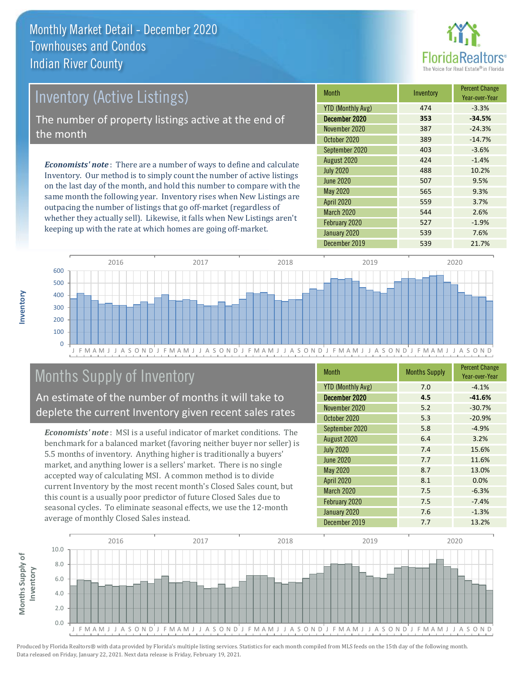

## Inventory (Active Listings)

The number of property listings active at the end of the month

*Economists' note* : There are a number of ways to define and calculate Inventory. Our method is to simply count the number of active listings on the last day of the month, and hold this number to compare with the same month the following year. Inventory rises when New Listings are outpacing the number of listings that go off-market (regardless of whether they actually sell). Likewise, it falls when New Listings aren't keeping up with the rate at which homes are going off-market.

| Month                    | Inventory | <b>Percent Change</b><br>Year-over-Year |
|--------------------------|-----------|-----------------------------------------|
| <b>YTD (Monthly Avg)</b> | 474       | $-3.3%$                                 |
| December 2020            | 353       | $-34.5%$                                |
| November 2020            | 387       | $-24.3%$                                |
| October 2020             | 389       | $-14.7%$                                |
| September 2020           | 403       | $-3.6%$                                 |
| August 2020              | 424       | $-1.4%$                                 |
| <b>July 2020</b>         | 488       | 10.2%                                   |
| <b>June 2020</b>         | 507       | 9.5%                                    |
| May 2020                 | 565       | 9.3%                                    |
| <b>April 2020</b>        | 559       | 3.7%                                    |
| March 2020               | 544       | 2.6%                                    |
| February 2020            | 527       | $-1.9%$                                 |
| January 2020             | 539       | 7.6%                                    |
| December 2019            | 539       | 21.7%                                   |



## Months Supply of Inventory

An estimate of the number of months it will take to deplete the current Inventory given recent sales rates

*Economists' note* : MSI is a useful indicator of market conditions. The benchmark for a balanced market (favoring neither buyer nor seller) is 5.5 months of inventory. Anything higher is traditionally a buyers' market, and anything lower is a sellers' market. There is no single accepted way of calculating MSI. A common method is to divide current Inventory by the most recent month's Closed Sales count, but this count is a usually poor predictor of future Closed Sales due to seasonal cycles. To eliminate seasonal effects, we use the 12-month average of monthly Closed Sales instead.

| Month                    | <b>Months Supply</b> | <b>Percent Change</b><br>Year-over-Year |
|--------------------------|----------------------|-----------------------------------------|
| <b>YTD (Monthly Avg)</b> | 7.0                  | $-4.1%$                                 |
| December 2020            | 4.5                  | $-41.6%$                                |
| November 2020            | 5.2                  | $-30.7%$                                |
| October 2020             | 5.3                  | $-20.9%$                                |
| September 2020           | 5.8                  | $-4.9%$                                 |
| August 2020              | 6.4                  | 3.2%                                    |
| <b>July 2020</b>         | 7.4                  | 15.6%                                   |
| <b>June 2020</b>         | 7.7                  | 11.6%                                   |
| May 2020                 | 8.7                  | 13.0%                                   |
| <b>April 2020</b>        | 8.1                  | 0.0%                                    |
| March 2020               | 7.5                  | $-6.3%$                                 |
| February 2020            | 7.5                  | $-7.4%$                                 |
| January 2020             | 7.6                  | $-1.3%$                                 |
| December 2019            | 7.7                  | 13.2%                                   |

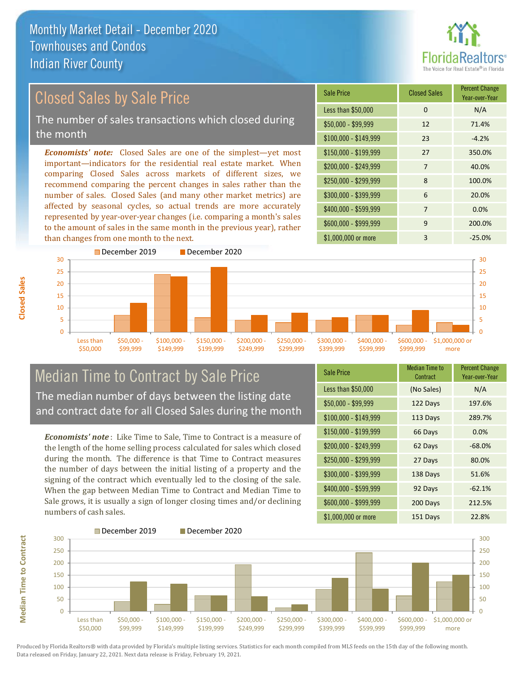

Year-over-Year

## Closed Sales by Sale Price

The number of sales transactions which closed during the month

*Economists' note:* Closed Sales are one of the simplest—yet most important—indicators for the residential real estate market. When comparing Closed Sales across markets of different sizes, we recommend comparing the percent changes in sales rather than the number of sales. Closed Sales (and many other market metrics) are affected by seasonal cycles, so actual trends are more accurately represented by year-over-year changes (i.e. comparing a month's sales to the amount of sales in the same month in the previous year), rather than changes from one month to the next.



### Median Time to Contract by Sale Price The median number of days between the listing date and contract date for all Closed Sales during the month

*Economists' note* : Like Time to Sale, Time to Contract is a measure of the length of the home selling process calculated for sales which closed during the month. The difference is that Time to Contract measures the number of days between the initial listing of a property and the signing of the contract which eventually led to the closing of the sale. When the gap between Median Time to Contract and Median Time to Sale grows, it is usually a sign of longer closing times and/or declining numbers of cash sales.

| <b>Sale Price</b>     | <b>Median Time to</b><br>Contract | <b>Percent Change</b><br>Year-over-Year |
|-----------------------|-----------------------------------|-----------------------------------------|
| Less than \$50,000    | (No Sales)                        | N/A                                     |
| $$50,000 - $99,999$   | 122 Days                          | 197.6%                                  |
| $$100,000 - $149,999$ | 113 Days                          | 289.7%                                  |
| $$150,000 - $199,999$ | 66 Days                           | 0.0%                                    |
| \$200,000 - \$249,999 | 62 Days                           | $-68.0%$                                |
| \$250,000 - \$299,999 | 27 Days                           | 80.0%                                   |
| \$300,000 - \$399,999 | 138 Days                          | 51.6%                                   |
| \$400,000 - \$599,999 | 92 Days                           | $-62.1%$                                |
| \$600,000 - \$999,999 | 200 Days                          | 212.5%                                  |
| \$1,000,000 or more   | 151 Days                          | 22.8%                                   |

\$250,000 - \$299,999 8 100.0% \$300,000 - \$399,999 6 20.0%

\$150,000 - \$199,999 27 350.0% \$200,000 - \$249,999 7 40.0%

 $$100,000 - $149,999$  23 -4.2%

Less than \$50,000 0 0 N/A \$50,000 - \$99,999 12 71.4%

Sale Price Closed Sales Percent Change

\$400,000 - \$599,999 7 0.0% \$600,000 - \$999,999 9 200.0%



**Closed Sales**

**Median Time to Contract Median Time to Contract**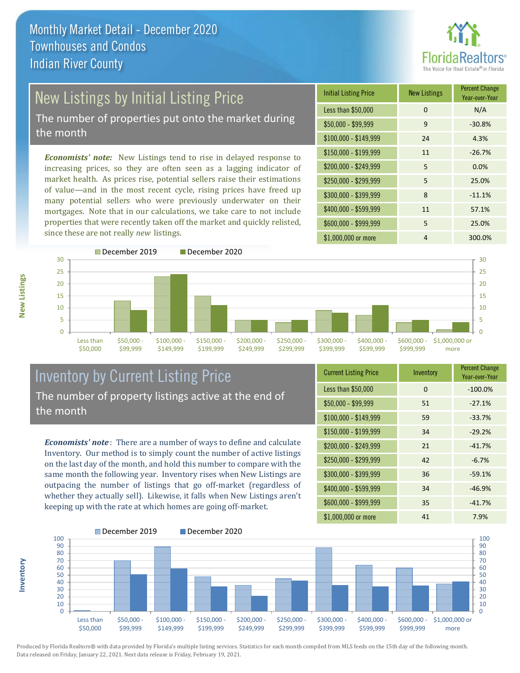

# New Listings by Initial Listing Price

The number of properties put onto the market during the month

*Economists' note:* New Listings tend to rise in delayed response to increasing prices, so they are often seen as a lagging indicator of market health. As prices rise, potential sellers raise their estimations of value—and in the most recent cycle, rising prices have freed up many potential sellers who were previously underwater on their mortgages. Note that in our calculations, we take care to not include properties that were recently taken off the market and quickly relisted, since these are not really *new* listings.

| <b>Initial Listing Price</b> | <b>New Listings</b> | <b>Percent Change</b><br>Year-over-Year |
|------------------------------|---------------------|-----------------------------------------|
| Less than \$50,000           | $\Omega$            | N/A                                     |
| $$50,000 - $99,999$          | 9                   | $-30.8%$                                |
| $$100,000 - $149,999$        | 24                  | 4.3%                                    |
| $$150,000 - $199,999$        | 11                  | $-26.7%$                                |
| \$200,000 - \$249,999        | 5                   | 0.0%                                    |
| \$250,000 - \$299,999        | 5                   | 25.0%                                   |
| \$300,000 - \$399,999        | 8                   | $-11.1%$                                |
| \$400,000 - \$599,999        | 11                  | 57.1%                                   |
| \$600,000 - \$999,999        | 5                   | 25.0%                                   |
| \$1,000,000 or more          | 4                   | 300.0%                                  |



### Inventory by Current Listing Price The number of property listings active at the end of the month

*Economists' note* : There are a number of ways to define and calculate Inventory. Our method is to simply count the number of active listings on the last day of the month, and hold this number to compare with the same month the following year. Inventory rises when New Listings are outpacing the number of listings that go off-market (regardless of whether they actually sell). Likewise, it falls when New Listings aren't keeping up with the rate at which homes are going off-market.

| <b>Current Listing Price</b> | Inventory | <b>Percent Change</b><br>Year-over-Year |
|------------------------------|-----------|-----------------------------------------|
| Less than \$50,000           | 0         | $-100.0%$                               |
| $$50,000 - $99,999$          | 51        | $-27.1%$                                |
| \$100,000 - \$149,999        | 59        | $-33.7%$                                |
| $$150,000 - $199,999$        | 34        | $-29.2%$                                |
| \$200,000 - \$249,999        | 21        | $-41.7%$                                |
| \$250,000 - \$299,999        | 42        | $-6.7%$                                 |
| \$300,000 - \$399,999        | 36        | $-59.1%$                                |
| \$400,000 - \$599,999        | 34        | $-46.9%$                                |
| \$600,000 - \$999,999        | 35        | $-41.7%$                                |
| \$1,000,000 or more          | 41        | 7.9%                                    |



Produced by Florida Realtors® with data provided by Florida's multiple listing services. Statistics for each month compiled from MLS feeds on the 15th day of the following month. Data released on Friday, January 22, 2021. Next data release is Friday, February 19, 2021.

**Inventory**